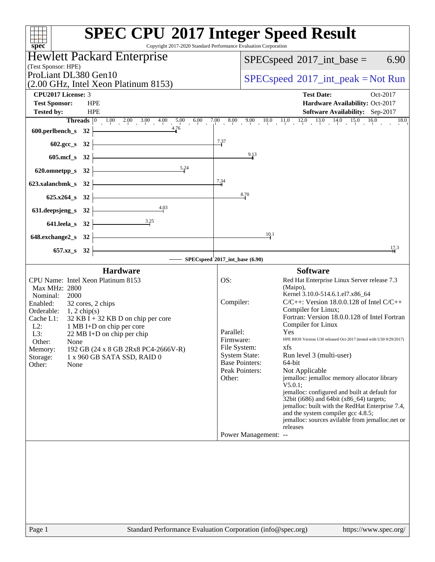| spec <sup>®</sup>                                                                                                                                                                                                                                                                                                                                                                                            | <b>SPEC CPU®2017 Integer Speed Result</b><br>Copyright 2017-2020 Standard Performance Evaluation Corporation                                                                                                                                                                                                                                                                                                                                                                                                                                                                                                                                                                                                                                                                                                                                                            |
|--------------------------------------------------------------------------------------------------------------------------------------------------------------------------------------------------------------------------------------------------------------------------------------------------------------------------------------------------------------------------------------------------------------|-------------------------------------------------------------------------------------------------------------------------------------------------------------------------------------------------------------------------------------------------------------------------------------------------------------------------------------------------------------------------------------------------------------------------------------------------------------------------------------------------------------------------------------------------------------------------------------------------------------------------------------------------------------------------------------------------------------------------------------------------------------------------------------------------------------------------------------------------------------------------|
| <b>Hewlett Packard Enterprise</b>                                                                                                                                                                                                                                                                                                                                                                            | 6.90<br>$SPEC speed^{\circ}2017\_int\_base =$                                                                                                                                                                                                                                                                                                                                                                                                                                                                                                                                                                                                                                                                                                                                                                                                                           |
| (Test Sponsor: HPE)                                                                                                                                                                                                                                                                                                                                                                                          |                                                                                                                                                                                                                                                                                                                                                                                                                                                                                                                                                                                                                                                                                                                                                                                                                                                                         |
| ProLiant DL380 Gen10                                                                                                                                                                                                                                                                                                                                                                                         | $SPEC speed^{\circ}2017\_int\_peak = Not Run$                                                                                                                                                                                                                                                                                                                                                                                                                                                                                                                                                                                                                                                                                                                                                                                                                           |
| (2.00 GHz, Intel Xeon Platinum 8153)                                                                                                                                                                                                                                                                                                                                                                         |                                                                                                                                                                                                                                                                                                                                                                                                                                                                                                                                                                                                                                                                                                                                                                                                                                                                         |
| <b>CPU2017 License: 3</b><br><b>Test Sponsor:</b><br><b>HPE</b>                                                                                                                                                                                                                                                                                                                                              | <b>Test Date:</b><br>Oct-2017<br>Hardware Availability: Oct-2017                                                                                                                                                                                                                                                                                                                                                                                                                                                                                                                                                                                                                                                                                                                                                                                                        |
| <b>Tested by:</b><br><b>HPE</b>                                                                                                                                                                                                                                                                                                                                                                              | Software Availability: Sep-2017                                                                                                                                                                                                                                                                                                                                                                                                                                                                                                                                                                                                                                                                                                                                                                                                                                         |
|                                                                                                                                                                                                                                                                                                                                                                                                              | <b>Threads</b> $\begin{bmatrix} 0 & 1.00 & 2.00 & 3.00 & 4.00 & 5.00 & 6.00 & 7.00 & 8.00 & 9.00 & 10.0 & 11.0 & 12.0 & 13.0 & 14.0 & 15.0 & 16.0 \end{bmatrix}$<br>18.0                                                                                                                                                                                                                                                                                                                                                                                                                                                                                                                                                                                                                                                                                                |
| 600.perlbench_s 32 $\frac{4.76}{10}$                                                                                                                                                                                                                                                                                                                                                                         |                                                                                                                                                                                                                                                                                                                                                                                                                                                                                                                                                                                                                                                                                                                                                                                                                                                                         |
| $602 \text{.gcc}\,$ $32$ $\overline{\qquad}$                                                                                                                                                                                                                                                                                                                                                                 | 7.37                                                                                                                                                                                                                                                                                                                                                                                                                                                                                                                                                                                                                                                                                                                                                                                                                                                                    |
| $605 \text{.mcf}\_8$ 32                                                                                                                                                                                                                                                                                                                                                                                      | 9.13                                                                                                                                                                                                                                                                                                                                                                                                                                                                                                                                                                                                                                                                                                                                                                                                                                                                    |
| 620.omnetpp_s 32 $\overline{\qquad \qquad }$ 5.24                                                                                                                                                                                                                                                                                                                                                            |                                                                                                                                                                                                                                                                                                                                                                                                                                                                                                                                                                                                                                                                                                                                                                                                                                                                         |
| 623.xalancbmk_s $32$ $\overline{\phantom{a}}$                                                                                                                                                                                                                                                                                                                                                                | 7.34                                                                                                                                                                                                                                                                                                                                                                                                                                                                                                                                                                                                                                                                                                                                                                                                                                                                    |
|                                                                                                                                                                                                                                                                                                                                                                                                              | 8.70                                                                                                                                                                                                                                                                                                                                                                                                                                                                                                                                                                                                                                                                                                                                                                                                                                                                    |
| 625.x264_s 32 $\boxed{\qquad}$                                                                                                                                                                                                                                                                                                                                                                               |                                                                                                                                                                                                                                                                                                                                                                                                                                                                                                                                                                                                                                                                                                                                                                                                                                                                         |
| $631. \text{deepsjeng_s}$ $32$<br>4.03                                                                                                                                                                                                                                                                                                                                                                       |                                                                                                                                                                                                                                                                                                                                                                                                                                                                                                                                                                                                                                                                                                                                                                                                                                                                         |
| 641.leela_s 32 $\frac{3.25}{2}$                                                                                                                                                                                                                                                                                                                                                                              |                                                                                                                                                                                                                                                                                                                                                                                                                                                                                                                                                                                                                                                                                                                                                                                                                                                                         |
| $648$ .exchange2_s $32$ $\overline{\phantom{a}}$                                                                                                                                                                                                                                                                                                                                                             | 10.1                                                                                                                                                                                                                                                                                                                                                                                                                                                                                                                                                                                                                                                                                                                                                                                                                                                                    |
| $657.xz$ $32$                                                                                                                                                                                                                                                                                                                                                                                                | 17.3                                                                                                                                                                                                                                                                                                                                                                                                                                                                                                                                                                                                                                                                                                                                                                                                                                                                    |
| SPECspeed <sup>\$</sup> 2017_int_base (6.90)                                                                                                                                                                                                                                                                                                                                                                 |                                                                                                                                                                                                                                                                                                                                                                                                                                                                                                                                                                                                                                                                                                                                                                                                                                                                         |
| <b>Hardware</b>                                                                                                                                                                                                                                                                                                                                                                                              | <b>Software</b>                                                                                                                                                                                                                                                                                                                                                                                                                                                                                                                                                                                                                                                                                                                                                                                                                                                         |
| CPU Name: Intel Xeon Platinum 8153<br>Max MHz: 2800<br>Nominal:<br>2000<br>Enabled:<br>32 cores, 2 chips<br>Orderable: $1, 2 \text{ chip(s)}$<br>Cache L1: $32$ KB I + 32 KB D on chip per core<br>$L2$ :<br>1 MB I+D on chip per core<br>L3:<br>22 MB I+D on chip per chip<br>Other:<br>None<br>192 GB (24 x 8 GB 2Rx8 PC4-2666V-R)<br>Memory:<br>Storage:<br>1 x 960 GB SATA SSD, RAID 0<br>Other:<br>None | OS:<br>Red Hat Enterprise Linux Server release 7.3<br>(Maipo),<br>Kernel 3.10.0-514.6.1.el7.x86_64<br>$C/C++$ : Version 18.0.0.128 of Intel $C/C++$<br>Compiler:<br>Compiler for Linux;<br>Fortran: Version 18.0.0.128 of Intel Fortran<br>Compiler for Linux<br>Parallel:<br>Yes<br>Firmware:<br>HPE BIOS Version U30 released Oct-2017 (tested with U30 9/29/2017)<br>File System:<br>xfs<br><b>System State:</b><br>Run level 3 (multi-user)<br><b>Base Pointers:</b><br>64-bit<br>Peak Pointers:<br>Not Applicable<br>jemalloc: jemalloc memory allocator library<br>Other:<br>V5.0.1;<br>jemalloc: configured and built at default for<br>32bit (i686) and 64bit (x86_64) targets;<br>jemalloc: built with the RedHat Enterprise 7.4,<br>and the system compiler gcc 4.8.5;<br>jemalloc: sources avilable from jemalloc.net or<br>releases<br>Power Management: -- |
|                                                                                                                                                                                                                                                                                                                                                                                                              |                                                                                                                                                                                                                                                                                                                                                                                                                                                                                                                                                                                                                                                                                                                                                                                                                                                                         |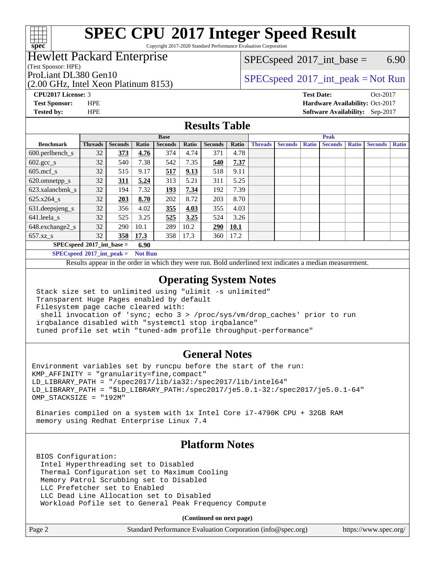

Copyright 2017-2020 Standard Performance Evaluation Corporation

### Hewlett Packard Enterprise

(Test Sponsor: HPE)

(2.00 GHz, Intel Xeon Platinum 8153)

 $SPECspeed^{\circ}2017\_int\_base =$  $SPECspeed^{\circ}2017\_int\_base =$  6.90

ProLiant DL380 Gen10  $SPECspeed^{\circ}2017\_int\_peak = Not Run$  $SPECspeed^{\circ}2017\_int\_peak = Not Run$ 

**[CPU2017 License:](http://www.spec.org/auto/cpu2017/Docs/result-fields.html#CPU2017License)** 3 **[Test Date:](http://www.spec.org/auto/cpu2017/Docs/result-fields.html#TestDate)** Oct-2017 **[Test Sponsor:](http://www.spec.org/auto/cpu2017/Docs/result-fields.html#TestSponsor)** HPE **[Hardware Availability:](http://www.spec.org/auto/cpu2017/Docs/result-fields.html#HardwareAvailability)** Oct-2017 **[Tested by:](http://www.spec.org/auto/cpu2017/Docs/result-fields.html#Testedby)** HPE **[Software Availability:](http://www.spec.org/auto/cpu2017/Docs/result-fields.html#SoftwareAvailability)** Sep-2017

#### **[Results Table](http://www.spec.org/auto/cpu2017/Docs/result-fields.html#ResultsTable)**

|                             | <b>Base</b>    |                |       |                | <b>Peak</b> |                |       |                |                |              |                |              |                |              |
|-----------------------------|----------------|----------------|-------|----------------|-------------|----------------|-------|----------------|----------------|--------------|----------------|--------------|----------------|--------------|
| <b>Benchmark</b>            | <b>Threads</b> | <b>Seconds</b> | Ratio | <b>Seconds</b> | Ratio       | <b>Seconds</b> | Ratio | <b>Threads</b> | <b>Seconds</b> | <b>Ratio</b> | <b>Seconds</b> | <b>Ratio</b> | <b>Seconds</b> | <b>Ratio</b> |
| 600.perlbench_s             | 32             | 373            | 4.76  | 374            | 4.74        | 371            | 4.78  |                |                |              |                |              |                |              |
| $602.\text{gcc}\_\text{s}$  | 32             | 540            | 7.38  | 542            | 7.35        | 540            | 7.37  |                |                |              |                |              |                |              |
| $605$ .mcf s                | 32             | 515            | 9.17  | 517            | 9.13        | 518            | 9.11  |                |                |              |                |              |                |              |
| 620.omnetpp_s               | 32             | 311            | 5.24  | 313            | 5.21        | 311            | 5.25  |                |                |              |                |              |                |              |
| 623.xalancbmk s             | 32             | 194            | 7.32  | 193            | 7.34        | 192            | 7.39  |                |                |              |                |              |                |              |
| $625.x264$ s                | 32             | 203            | 8.70  | 202            | 8.72        | 203            | 8.70  |                |                |              |                |              |                |              |
| 631.deepsjeng_s             | 32             | 356            | 4.02  | 355            | 4.03        | 355            | 4.03  |                |                |              |                |              |                |              |
| 641.leela_s                 | 32             | 525            | 3.25  | 525            | 3.25        | 524            | 3.26  |                |                |              |                |              |                |              |
| 648.exchange2_s             | 32             | 290            | 10.1  | 289            | 10.2        | 290            | 10.1  |                |                |              |                |              |                |              |
| $657.xz$ s                  | 32             | 358            | 17.3  | 358            | 17.3        | 360            | 17.2  |                |                |              |                |              |                |              |
| $SPECspeed*2017$ int base = |                |                | 6.90  |                |             |                |       |                |                |              |                |              |                |              |

**[SPECspeed](http://www.spec.org/auto/cpu2017/Docs/result-fields.html#SPECspeed2017intpeak)[2017\\_int\\_peak =](http://www.spec.org/auto/cpu2017/Docs/result-fields.html#SPECspeed2017intpeak) Not Run**

Results appear in the [order in which they were run.](http://www.spec.org/auto/cpu2017/Docs/result-fields.html#RunOrder) Bold underlined text [indicates a median measurement.](http://www.spec.org/auto/cpu2017/Docs/result-fields.html#Median)

#### **[Operating System Notes](http://www.spec.org/auto/cpu2017/Docs/result-fields.html#OperatingSystemNotes)**

 Stack size set to unlimited using "ulimit -s unlimited" Transparent Huge Pages enabled by default Filesystem page cache cleared with: shell invocation of 'sync; echo 3 > /proc/sys/vm/drop\_caches' prior to run irqbalance disabled with "systemctl stop irqbalance"

tuned profile set wtih "tuned-adm profile throughput-performance"

#### **[General Notes](http://www.spec.org/auto/cpu2017/Docs/result-fields.html#GeneralNotes)**

Environment variables set by runcpu before the start of the run: KMP\_AFFINITY = "granularity=fine,compact" LD\_LIBRARY\_PATH = "/spec2017/lib/ia32:/spec2017/lib/intel64" LD\_LIBRARY\_PATH = "\$LD\_LIBRARY\_PATH:/spec2017/je5.0.1-32:/spec2017/je5.0.1-64" OMP\_STACKSIZE = "192M"

 Binaries compiled on a system with 1x Intel Core i7-4790K CPU + 32GB RAM memory using Redhat Enterprise Linux 7.4

#### **[Platform Notes](http://www.spec.org/auto/cpu2017/Docs/result-fields.html#PlatformNotes)**

 BIOS Configuration: Intel Hyperthreading set to Disabled Thermal Configuration set to Maximum Cooling Memory Patrol Scrubbing set to Disabled LLC Prefetcher set to Enabled LLC Dead Line Allocation set to Disabled Workload Pofile set to General Peak Frequency Compute

**(Continued on next page)**

| Page 2<br>Standard Performance Evaluation Corporation (info@spec.org) | https://www.spec.org/ |
|-----------------------------------------------------------------------|-----------------------|
|-----------------------------------------------------------------------|-----------------------|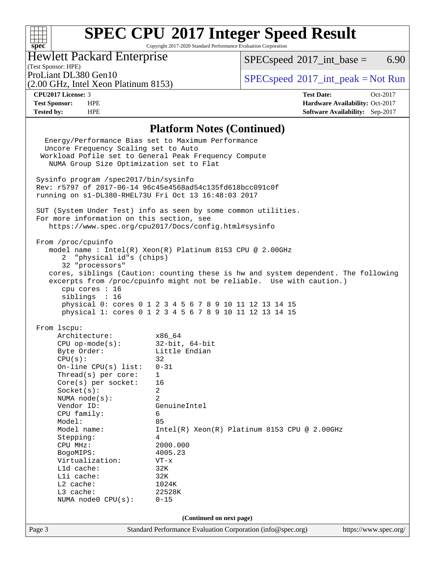#### $+\hskip -1.5pt +\hskip -1.5pt +$ **[spec](http://www.spec.org/)**

# **[SPEC CPU](http://www.spec.org/auto/cpu2017/Docs/result-fields.html#SPECCPU2017IntegerSpeedResult)[2017 Integer Speed Result](http://www.spec.org/auto/cpu2017/Docs/result-fields.html#SPECCPU2017IntegerSpeedResult)**

Copyright 2017-2020 Standard Performance Evaluation Corporation

### Hewlett Packard Enterprise

(2.00 GHz, Intel Xeon Platinum 8153)

 $SPECspeed^{\circ}2017\_int\_base =$  $SPECspeed^{\circ}2017\_int\_base =$  6.90

(Test Sponsor: HPE)

ProLiant DL380 Gen10<br>  $SPECspeed^{\circ}2017\_int\_peak = Not Run$  $SPECspeed^{\circ}2017\_int\_peak = Not Run$ 

**[CPU2017 License:](http://www.spec.org/auto/cpu2017/Docs/result-fields.html#CPU2017License)** 3 **[Test Date:](http://www.spec.org/auto/cpu2017/Docs/result-fields.html#TestDate)** Oct-2017 **[Test Sponsor:](http://www.spec.org/auto/cpu2017/Docs/result-fields.html#TestSponsor)** HPE **[Hardware Availability:](http://www.spec.org/auto/cpu2017/Docs/result-fields.html#HardwareAvailability)** Oct-2017 **[Tested by:](http://www.spec.org/auto/cpu2017/Docs/result-fields.html#Testedby)** HPE **[Software Availability:](http://www.spec.org/auto/cpu2017/Docs/result-fields.html#SoftwareAvailability)** Sep-2017

#### **[Platform Notes \(Continued\)](http://www.spec.org/auto/cpu2017/Docs/result-fields.html#PlatformNotes)**

Page 3 Standard Performance Evaluation Corporation [\(info@spec.org\)](mailto:info@spec.org) <https://www.spec.org/> Energy/Performance Bias set to Maximum Performance Uncore Frequency Scaling set to Auto Workload Pofile set to General Peak Frequency Compute NUMA Group Size Optimization set to Flat Sysinfo program /spec2017/bin/sysinfo Rev: r5797 of 2017-06-14 96c45e4568ad54c135fd618bcc091c0f running on s1-DL380-RHEL73U Fri Oct 13 16:48:03 2017 SUT (System Under Test) info as seen by some common utilities. For more information on this section, see <https://www.spec.org/cpu2017/Docs/config.html#sysinfo> From /proc/cpuinfo model name : Intel(R) Xeon(R) Platinum 8153 CPU @ 2.00GHz 2 "physical id"s (chips) 32 "processors" cores, siblings (Caution: counting these is hw and system dependent. The following excerpts from /proc/cpuinfo might not be reliable. Use with caution.) cpu cores : 16 siblings : 16 physical 0: cores 0 1 2 3 4 5 6 7 8 9 10 11 12 13 14 15 physical 1: cores 0 1 2 3 4 5 6 7 8 9 10 11 12 13 14 15 From lscpu: Architecture: x86\_64 CPU op-mode(s): 32-bit, 64-bit Byte Order: Little Endian  $CPU(s):$  32 On-line CPU(s) list: 0-31 Thread(s) per core: 1 Core(s) per socket: 16 Socket(s): 2 NUMA node(s): 2 Vendor ID: GenuineIntel CPU family: 6 Model: 85 Model name: Intel(R) Xeon(R) Platinum 8153 CPU @ 2.00GHz Stepping: 4 CPU MHz: 2000.000 BogoMIPS: 4005.23 Virtualization: VT-x L1d cache: 32K L1i cache: 32K L2 cache: 1024K L3 cache: 22528K NUMA node0 CPU(s): 0-15 **(Continued on next page)**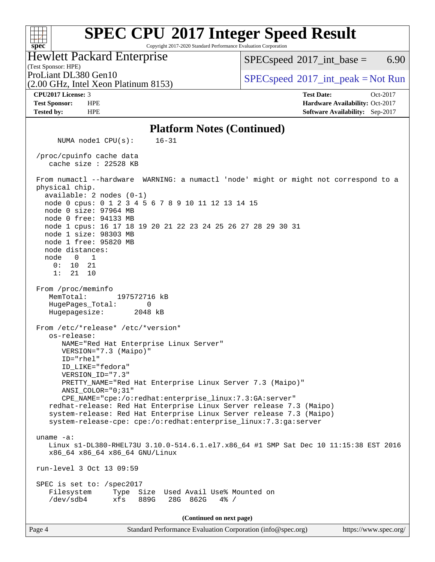Copyright 2017-2020 Standard Performance Evaluation Corporation

Hewlett Packard Enterprise

(2.00 GHz, Intel Xeon Platinum 8153)

 $SPECspeed^{\circ}2017\_int\_base =$  $SPECspeed^{\circ}2017\_int\_base =$  6.90

(Test Sponsor: HPE)

ProLiant DL380 Gen10<br>  $SPECspeed^{\circ}2017\_int\_peak = Not Run$  $SPECspeed^{\circ}2017\_int\_peak = Not Run$ 

**[spec](http://www.spec.org/)**

 $+\!\!+\!\!$ 

**[CPU2017 License:](http://www.spec.org/auto/cpu2017/Docs/result-fields.html#CPU2017License)** 3 **[Test Date:](http://www.spec.org/auto/cpu2017/Docs/result-fields.html#TestDate)** Oct-2017 **[Test Sponsor:](http://www.spec.org/auto/cpu2017/Docs/result-fields.html#TestSponsor)** HPE **[Hardware Availability:](http://www.spec.org/auto/cpu2017/Docs/result-fields.html#HardwareAvailability)** Oct-2017 **[Tested by:](http://www.spec.org/auto/cpu2017/Docs/result-fields.html#Testedby)** HPE **[Software Availability:](http://www.spec.org/auto/cpu2017/Docs/result-fields.html#SoftwareAvailability)** Sep-2017

#### **[Platform Notes \(Continued\)](http://www.spec.org/auto/cpu2017/Docs/result-fields.html#PlatformNotes)**

 NUMA node1 CPU(s): 16-31 /proc/cpuinfo cache data cache size : 22528 KB From numactl --hardware WARNING: a numactl 'node' might or might not correspond to a physical chip. available: 2 nodes (0-1) node 0 cpus: 0 1 2 3 4 5 6 7 8 9 10 11 12 13 14 15 node 0 size: 97964 MB node 0 free: 94133 MB node 1 cpus: 16 17 18 19 20 21 22 23 24 25 26 27 28 29 30 31 node 1 size: 98303 MB node 1 free: 95820 MB node distances: node 0 1 0: 10 21 1: 21 10 From /proc/meminfo MemTotal: 197572716 kB HugePages\_Total: 0 Hugepagesize: 2048 kB From /etc/\*release\* /etc/\*version\* os-release: NAME="Red Hat Enterprise Linux Server" VERSION="7.3 (Maipo)" ID="rhel" ID\_LIKE="fedora" VERSION\_ID="7.3" PRETTY\_NAME="Red Hat Enterprise Linux Server 7.3 (Maipo)" ANSI\_COLOR="0;31" CPE\_NAME="cpe:/o:redhat:enterprise\_linux:7.3:GA:server" redhat-release: Red Hat Enterprise Linux Server release 7.3 (Maipo) system-release: Red Hat Enterprise Linux Server release 7.3 (Maipo) system-release-cpe: cpe:/o:redhat:enterprise\_linux:7.3:ga:server uname -a: Linux s1-DL380-RHEL73U 3.10.0-514.6.1.el7.x86\_64 #1 SMP Sat Dec 10 11:15:38 EST 2016 x86\_64 x86\_64 x86\_64 GNU/Linux run-level 3 Oct 13 09:59 SPEC is set to: /spec2017 Filesystem Type Size Used Avail Use% Mounted on /dev/sdb4 xfs 889G 28G 862G 4% / **(Continued on next page)**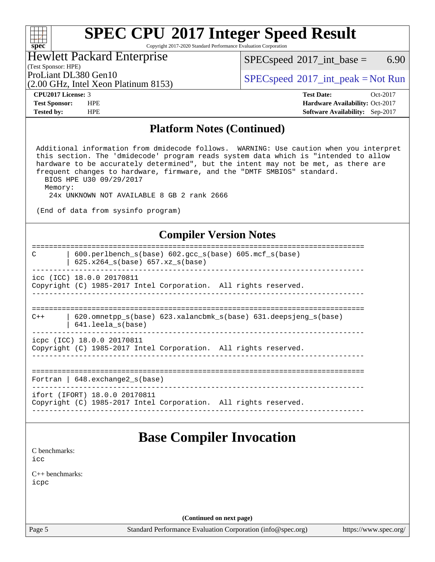Copyright 2017-2020 Standard Performance Evaluation Corporation

### Hewlett Packard Enterprise

(2.00 GHz, Intel Xeon Platinum 8153)

 $SPECspeed^{\circ}2017\_int\_base =$  $SPECspeed^{\circ}2017\_int\_base =$  6.90

(Test Sponsor: HPE)

ProLiant DL380 Gen10<br>  $SPEC speed^{\circ}2017\_int\_peak = Not Run$ 

**[spec](http://www.spec.org/)**

 $\pm\pm\prime$ 

**[CPU2017 License:](http://www.spec.org/auto/cpu2017/Docs/result-fields.html#CPU2017License)** 3 **[Test Date:](http://www.spec.org/auto/cpu2017/Docs/result-fields.html#TestDate)** Oct-2017 **[Test Sponsor:](http://www.spec.org/auto/cpu2017/Docs/result-fields.html#TestSponsor)** HPE **[Hardware Availability:](http://www.spec.org/auto/cpu2017/Docs/result-fields.html#HardwareAvailability)** Oct-2017 **[Tested by:](http://www.spec.org/auto/cpu2017/Docs/result-fields.html#Testedby)** HPE **[Software Availability:](http://www.spec.org/auto/cpu2017/Docs/result-fields.html#SoftwareAvailability)** Sep-2017

#### **[Platform Notes \(Continued\)](http://www.spec.org/auto/cpu2017/Docs/result-fields.html#PlatformNotes)**

 Additional information from dmidecode follows. WARNING: Use caution when you interpret this section. The 'dmidecode' program reads system data which is "intended to allow hardware to be accurately determined", but the intent may not be met, as there are frequent changes to hardware, firmware, and the "DMTF SMBIOS" standard. BIOS HPE U30 09/29/2017

Memory:

24x UNKNOWN NOT AVAILABLE 8 GB 2 rank 2666

(End of data from sysinfo program)

#### **[Compiler Version Notes](http://www.spec.org/auto/cpu2017/Docs/result-fields.html#CompilerVersionNotes)**

| $600.$ perlbench $s(base)$ $602.$ qcc $s(base)$ $605.$ mcf $s(base)$<br>C<br>$625.x264_s(base) 657.xz_s(base)$ |
|----------------------------------------------------------------------------------------------------------------|
| icc (ICC) 18.0.0 20170811                                                                                      |
| Copyright (C) 1985-2017 Intel Corporation. All rights reserved.                                                |
|                                                                                                                |
| $620$ .omnetpp $s(base)$ 623.xalancbmk $s(base)$ 631.deepsjeng $s(base)$<br>$C++$                              |
| 641.leela s(base)                                                                                              |
| icpc (ICC) 18.0.0 20170811                                                                                     |
| Copyright (C) 1985-2017 Intel Corporation. All rights reserved.                                                |
|                                                                                                                |
|                                                                                                                |
|                                                                                                                |
| Fortran   $648$ . exchange2 $s(base)$                                                                          |
| ifort (IFORT) 18.0.0 20170811                                                                                  |
| Copyright (C) 1985-2017 Intel Corporation. All rights reserved.                                                |
|                                                                                                                |
|                                                                                                                |

### **[Base Compiler Invocation](http://www.spec.org/auto/cpu2017/Docs/result-fields.html#BaseCompilerInvocation)**

[C benchmarks](http://www.spec.org/auto/cpu2017/Docs/result-fields.html#Cbenchmarks): [icc](http://www.spec.org/cpu2017/results/res2017q4/cpu2017-20171017-00170.flags.html#user_CCbase_intel_icc_18.0_66fc1ee009f7361af1fbd72ca7dcefbb700085f36577c54f309893dd4ec40d12360134090235512931783d35fd58c0460139e722d5067c5574d8eaf2b3e37e92)

[C++ benchmarks:](http://www.spec.org/auto/cpu2017/Docs/result-fields.html#CXXbenchmarks) [icpc](http://www.spec.org/cpu2017/results/res2017q4/cpu2017-20171017-00170.flags.html#user_CXXbase_intel_icpc_18.0_c510b6838c7f56d33e37e94d029a35b4a7bccf4766a728ee175e80a419847e808290a9b78be685c44ab727ea267ec2f070ec5dc83b407c0218cded6866a35d07)

**(Continued on next page)**

Page 5 Standard Performance Evaluation Corporation [\(info@spec.org\)](mailto:info@spec.org) <https://www.spec.org/>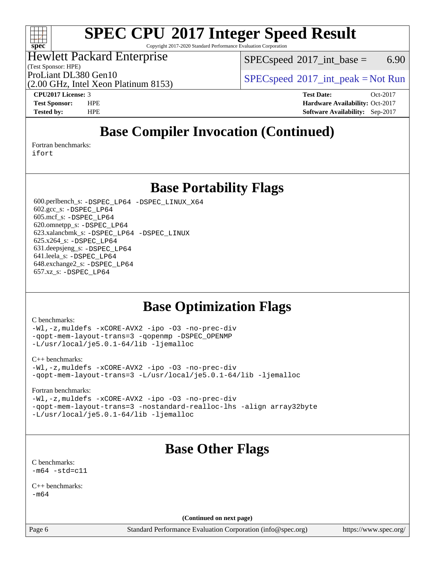

Copyright 2017-2020 Standard Performance Evaluation Corporation

### Hewlett Packard Enterprise

(Test Sponsor: HPE)

 $SPEC speed^{\circ}2017\_int\_base =$  6.90

(2.00 GHz, Intel Xeon Platinum 8153)

ProLiant DL380 Gen10<br>  $SPECspeed^{\circ}2017\_int\_peak = Not Run$  $SPECspeed^{\circ}2017\_int\_peak = Not Run$ 

**[CPU2017 License:](http://www.spec.org/auto/cpu2017/Docs/result-fields.html#CPU2017License)** 3 **[Test Date:](http://www.spec.org/auto/cpu2017/Docs/result-fields.html#TestDate)** Oct-2017 **[Test Sponsor:](http://www.spec.org/auto/cpu2017/Docs/result-fields.html#TestSponsor)** HPE **[Hardware Availability:](http://www.spec.org/auto/cpu2017/Docs/result-fields.html#HardwareAvailability)** Oct-2017 **[Tested by:](http://www.spec.org/auto/cpu2017/Docs/result-fields.html#Testedby)** HPE **[Software Availability:](http://www.spec.org/auto/cpu2017/Docs/result-fields.html#SoftwareAvailability)** Sep-2017

## **[Base Compiler Invocation \(Continued\)](http://www.spec.org/auto/cpu2017/Docs/result-fields.html#BaseCompilerInvocation)**

[Fortran benchmarks](http://www.spec.org/auto/cpu2017/Docs/result-fields.html#Fortranbenchmarks):

[ifort](http://www.spec.org/cpu2017/results/res2017q4/cpu2017-20171017-00170.flags.html#user_FCbase_intel_ifort_18.0_8111460550e3ca792625aed983ce982f94888b8b503583aa7ba2b8303487b4d8a21a13e7191a45c5fd58ff318f48f9492884d4413fa793fd88dd292cad7027ca)

### **[Base Portability Flags](http://www.spec.org/auto/cpu2017/Docs/result-fields.html#BasePortabilityFlags)**

 600.perlbench\_s: [-DSPEC\\_LP64](http://www.spec.org/cpu2017/results/res2017q4/cpu2017-20171017-00170.flags.html#b600.perlbench_s_basePORTABILITY_DSPEC_LP64) [-DSPEC\\_LINUX\\_X64](http://www.spec.org/cpu2017/results/res2017q4/cpu2017-20171017-00170.flags.html#b600.perlbench_s_baseCPORTABILITY_DSPEC_LINUX_X64) 602.gcc\_s: [-DSPEC\\_LP64](http://www.spec.org/cpu2017/results/res2017q4/cpu2017-20171017-00170.flags.html#suite_basePORTABILITY602_gcc_s_DSPEC_LP64) 605.mcf\_s: [-DSPEC\\_LP64](http://www.spec.org/cpu2017/results/res2017q4/cpu2017-20171017-00170.flags.html#suite_basePORTABILITY605_mcf_s_DSPEC_LP64) 620.omnetpp\_s: [-DSPEC\\_LP64](http://www.spec.org/cpu2017/results/res2017q4/cpu2017-20171017-00170.flags.html#suite_basePORTABILITY620_omnetpp_s_DSPEC_LP64) 623.xalancbmk\_s: [-DSPEC\\_LP64](http://www.spec.org/cpu2017/results/res2017q4/cpu2017-20171017-00170.flags.html#suite_basePORTABILITY623_xalancbmk_s_DSPEC_LP64) [-DSPEC\\_LINUX](http://www.spec.org/cpu2017/results/res2017q4/cpu2017-20171017-00170.flags.html#b623.xalancbmk_s_baseCXXPORTABILITY_DSPEC_LINUX) 625.x264\_s: [-DSPEC\\_LP64](http://www.spec.org/cpu2017/results/res2017q4/cpu2017-20171017-00170.flags.html#suite_basePORTABILITY625_x264_s_DSPEC_LP64) 631.deepsjeng\_s: [-DSPEC\\_LP64](http://www.spec.org/cpu2017/results/res2017q4/cpu2017-20171017-00170.flags.html#suite_basePORTABILITY631_deepsjeng_s_DSPEC_LP64) 641.leela\_s: [-DSPEC\\_LP64](http://www.spec.org/cpu2017/results/res2017q4/cpu2017-20171017-00170.flags.html#suite_basePORTABILITY641_leela_s_DSPEC_LP64) 648.exchange2\_s: [-DSPEC\\_LP64](http://www.spec.org/cpu2017/results/res2017q4/cpu2017-20171017-00170.flags.html#suite_basePORTABILITY648_exchange2_s_DSPEC_LP64) 657.xz\_s: [-DSPEC\\_LP64](http://www.spec.org/cpu2017/results/res2017q4/cpu2017-20171017-00170.flags.html#suite_basePORTABILITY657_xz_s_DSPEC_LP64)

## **[Base Optimization Flags](http://www.spec.org/auto/cpu2017/Docs/result-fields.html#BaseOptimizationFlags)**

#### [C benchmarks](http://www.spec.org/auto/cpu2017/Docs/result-fields.html#Cbenchmarks):

[-Wl,-z,muldefs](http://www.spec.org/cpu2017/results/res2017q4/cpu2017-20171017-00170.flags.html#user_CCbase_link_force_multiple1_b4cbdb97b34bdee9ceefcfe54f4c8ea74255f0b02a4b23e853cdb0e18eb4525ac79b5a88067c842dd0ee6996c24547a27a4b99331201badda8798ef8a743f577) [-xCORE-AVX2](http://www.spec.org/cpu2017/results/res2017q4/cpu2017-20171017-00170.flags.html#user_CCbase_f-xCORE-AVX2) [-ipo](http://www.spec.org/cpu2017/results/res2017q4/cpu2017-20171017-00170.flags.html#user_CCbase_f-ipo) [-O3](http://www.spec.org/cpu2017/results/res2017q4/cpu2017-20171017-00170.flags.html#user_CCbase_f-O3) [-no-prec-div](http://www.spec.org/cpu2017/results/res2017q4/cpu2017-20171017-00170.flags.html#user_CCbase_f-no-prec-div) [-qopt-mem-layout-trans=3](http://www.spec.org/cpu2017/results/res2017q4/cpu2017-20171017-00170.flags.html#user_CCbase_f-qopt-mem-layout-trans_de80db37974c74b1f0e20d883f0b675c88c3b01e9d123adea9b28688d64333345fb62bc4a798493513fdb68f60282f9a726aa07f478b2f7113531aecce732043) [-qopenmp](http://www.spec.org/cpu2017/results/res2017q4/cpu2017-20171017-00170.flags.html#user_CCbase_qopenmp_16be0c44f24f464004c6784a7acb94aca937f053568ce72f94b139a11c7c168634a55f6653758ddd83bcf7b8463e8028bb0b48b77bcddc6b78d5d95bb1df2967) [-DSPEC\\_OPENMP](http://www.spec.org/cpu2017/results/res2017q4/cpu2017-20171017-00170.flags.html#suite_CCbase_DSPEC_OPENMP) [-L/usr/local/je5.0.1-64/lib](http://www.spec.org/cpu2017/results/res2017q4/cpu2017-20171017-00170.flags.html#user_CCbase_jemalloc_link_path64_4b10a636b7bce113509b17f3bd0d6226c5fb2346b9178c2d0232c14f04ab830f976640479e5c33dc2bcbbdad86ecfb6634cbbd4418746f06f368b512fced5394) [-ljemalloc](http://www.spec.org/cpu2017/results/res2017q4/cpu2017-20171017-00170.flags.html#user_CCbase_jemalloc_link_lib_d1249b907c500fa1c0672f44f562e3d0f79738ae9e3c4a9c376d49f265a04b9c99b167ecedbf6711b3085be911c67ff61f150a17b3472be731631ba4d0471706)

#### [C++ benchmarks:](http://www.spec.org/auto/cpu2017/Docs/result-fields.html#CXXbenchmarks)

[-Wl,-z,muldefs](http://www.spec.org/cpu2017/results/res2017q4/cpu2017-20171017-00170.flags.html#user_CXXbase_link_force_multiple1_b4cbdb97b34bdee9ceefcfe54f4c8ea74255f0b02a4b23e853cdb0e18eb4525ac79b5a88067c842dd0ee6996c24547a27a4b99331201badda8798ef8a743f577) [-xCORE-AVX2](http://www.spec.org/cpu2017/results/res2017q4/cpu2017-20171017-00170.flags.html#user_CXXbase_f-xCORE-AVX2) [-ipo](http://www.spec.org/cpu2017/results/res2017q4/cpu2017-20171017-00170.flags.html#user_CXXbase_f-ipo) [-O3](http://www.spec.org/cpu2017/results/res2017q4/cpu2017-20171017-00170.flags.html#user_CXXbase_f-O3) [-no-prec-div](http://www.spec.org/cpu2017/results/res2017q4/cpu2017-20171017-00170.flags.html#user_CXXbase_f-no-prec-div) [-qopt-mem-layout-trans=3](http://www.spec.org/cpu2017/results/res2017q4/cpu2017-20171017-00170.flags.html#user_CXXbase_f-qopt-mem-layout-trans_de80db37974c74b1f0e20d883f0b675c88c3b01e9d123adea9b28688d64333345fb62bc4a798493513fdb68f60282f9a726aa07f478b2f7113531aecce732043) [-L/usr/local/je5.0.1-64/lib](http://www.spec.org/cpu2017/results/res2017q4/cpu2017-20171017-00170.flags.html#user_CXXbase_jemalloc_link_path64_4b10a636b7bce113509b17f3bd0d6226c5fb2346b9178c2d0232c14f04ab830f976640479e5c33dc2bcbbdad86ecfb6634cbbd4418746f06f368b512fced5394) [-ljemalloc](http://www.spec.org/cpu2017/results/res2017q4/cpu2017-20171017-00170.flags.html#user_CXXbase_jemalloc_link_lib_d1249b907c500fa1c0672f44f562e3d0f79738ae9e3c4a9c376d49f265a04b9c99b167ecedbf6711b3085be911c67ff61f150a17b3472be731631ba4d0471706)

#### [Fortran benchmarks](http://www.spec.org/auto/cpu2017/Docs/result-fields.html#Fortranbenchmarks):

[-Wl,-z,muldefs](http://www.spec.org/cpu2017/results/res2017q4/cpu2017-20171017-00170.flags.html#user_FCbase_link_force_multiple1_b4cbdb97b34bdee9ceefcfe54f4c8ea74255f0b02a4b23e853cdb0e18eb4525ac79b5a88067c842dd0ee6996c24547a27a4b99331201badda8798ef8a743f577) [-xCORE-AVX2](http://www.spec.org/cpu2017/results/res2017q4/cpu2017-20171017-00170.flags.html#user_FCbase_f-xCORE-AVX2) [-ipo](http://www.spec.org/cpu2017/results/res2017q4/cpu2017-20171017-00170.flags.html#user_FCbase_f-ipo) [-O3](http://www.spec.org/cpu2017/results/res2017q4/cpu2017-20171017-00170.flags.html#user_FCbase_f-O3) [-no-prec-div](http://www.spec.org/cpu2017/results/res2017q4/cpu2017-20171017-00170.flags.html#user_FCbase_f-no-prec-div) [-qopt-mem-layout-trans=3](http://www.spec.org/cpu2017/results/res2017q4/cpu2017-20171017-00170.flags.html#user_FCbase_f-qopt-mem-layout-trans_de80db37974c74b1f0e20d883f0b675c88c3b01e9d123adea9b28688d64333345fb62bc4a798493513fdb68f60282f9a726aa07f478b2f7113531aecce732043) [-nostandard-realloc-lhs](http://www.spec.org/cpu2017/results/res2017q4/cpu2017-20171017-00170.flags.html#user_FCbase_f_2003_std_realloc_82b4557e90729c0f113870c07e44d33d6f5a304b4f63d4c15d2d0f1fab99f5daaed73bdb9275d9ae411527f28b936061aa8b9c8f2d63842963b95c9dd6426b8a) [-align array32byte](http://www.spec.org/cpu2017/results/res2017q4/cpu2017-20171017-00170.flags.html#user_FCbase_align_array32byte_b982fe038af199962ba9a80c053b8342c548c85b40b8e86eb3cc33dee0d7986a4af373ac2d51c3f7cf710a18d62fdce2948f201cd044323541f22fc0fffc51b6) [-L/usr/local/je5.0.1-64/lib](http://www.spec.org/cpu2017/results/res2017q4/cpu2017-20171017-00170.flags.html#user_FCbase_jemalloc_link_path64_4b10a636b7bce113509b17f3bd0d6226c5fb2346b9178c2d0232c14f04ab830f976640479e5c33dc2bcbbdad86ecfb6634cbbd4418746f06f368b512fced5394) [-ljemalloc](http://www.spec.org/cpu2017/results/res2017q4/cpu2017-20171017-00170.flags.html#user_FCbase_jemalloc_link_lib_d1249b907c500fa1c0672f44f562e3d0f79738ae9e3c4a9c376d49f265a04b9c99b167ecedbf6711b3085be911c67ff61f150a17b3472be731631ba4d0471706)

## **[Base Other Flags](http://www.spec.org/auto/cpu2017/Docs/result-fields.html#BaseOtherFlags)**

[C benchmarks](http://www.spec.org/auto/cpu2017/Docs/result-fields.html#Cbenchmarks):  $-m64 - std= c11$  $-m64 - std= c11$ 

[C++ benchmarks:](http://www.spec.org/auto/cpu2017/Docs/result-fields.html#CXXbenchmarks) [-m64](http://www.spec.org/cpu2017/results/res2017q4/cpu2017-20171017-00170.flags.html#user_CXXbase_intel_intel64_18.0_af43caccfc8ded86e7699f2159af6efc7655f51387b94da716254467f3c01020a5059329e2569e4053f409e7c9202a7efc638f7a6d1ffb3f52dea4a3e31d82ab)

**(Continued on next page)**

Page 6 Standard Performance Evaluation Corporation [\(info@spec.org\)](mailto:info@spec.org) <https://www.spec.org/>